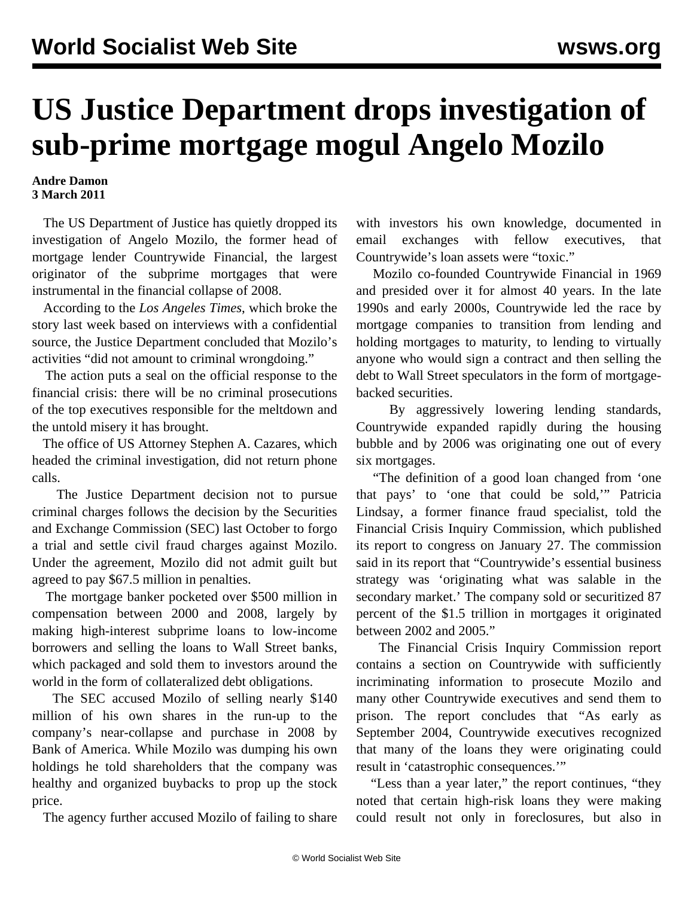## **US Justice Department drops investigation of sub-prime mortgage mogul Angelo Mozilo**

## **Andre Damon 3 March 2011**

 The US Department of Justice has quietly dropped its investigation of Angelo Mozilo, the former head of mortgage lender Countrywide Financial, the largest originator of the subprime mortgages that were instrumental in the financial collapse of 2008.

 According to the *Los Angeles Times*, which broke the story last week based on interviews with a confidential source, the Justice Department concluded that Mozilo's activities "did not amount to criminal wrongdoing."

 The action puts a seal on the official response to the financial crisis: there will be no criminal prosecutions of the top executives responsible for the meltdown and the untold misery it has brought.

 The office of US Attorney Stephen A. Cazares, which headed the criminal investigation, did not return phone calls.

 The Justice Department decision not to pursue criminal charges follows the decision by the Securities and Exchange Commission (SEC) last October to forgo a trial and settle civil fraud charges against Mozilo. Under the agreement, Mozilo did not admit guilt but agreed to pay \$67.5 million in penalties.

 The mortgage banker pocketed over \$500 million in compensation between 2000 and 2008, largely by making high-interest subprime loans to low-income borrowers and selling the loans to Wall Street banks, which packaged and sold them to investors around the world in the form of collateralized debt obligations.

 The SEC accused Mozilo of selling nearly \$140 million of his own shares in the run-up to the company's near-collapse and purchase in 2008 by Bank of America. While Mozilo was dumping his own holdings he told shareholders that the company was healthy and organized buybacks to prop up the stock price.

The agency further accused Mozilo of failing to share

with investors his own knowledge, documented in email exchanges with fellow executives, that Countrywide's loan assets were "toxic."

 Mozilo co-founded Countrywide Financial in 1969 and presided over it for almost 40 years. In the late 1990s and early 2000s, Countrywide led the race by mortgage companies to transition from lending and holding mortgages to maturity, to lending to virtually anyone who would sign a contract and then selling the debt to Wall Street speculators in the form of mortgagebacked securities.

 By aggressively lowering lending standards, Countrywide expanded rapidly during the housing bubble and by 2006 was originating one out of every six mortgages.

 "The definition of a good loan changed from 'one that pays' to 'one that could be sold,'" Patricia Lindsay, a former finance fraud specialist, told the Financial Crisis Inquiry Commission, which published its report to congress on January 27. The commission said in its report that "Countrywide's essential business strategy was 'originating what was salable in the secondary market.' The company sold or securitized 87 percent of the \$1.5 trillion in mortgages it originated between 2002 and 2005."

 The Financial Crisis Inquiry Commission report contains a section on Countrywide with sufficiently incriminating information to prosecute Mozilo and many other Countrywide executives and send them to prison. The report concludes that "As early as September 2004, Countrywide executives recognized that many of the loans they were originating could result in 'catastrophic consequences.'"

 "Less than a year later," the report continues, "they noted that certain high-risk loans they were making could result not only in foreclosures, but also in